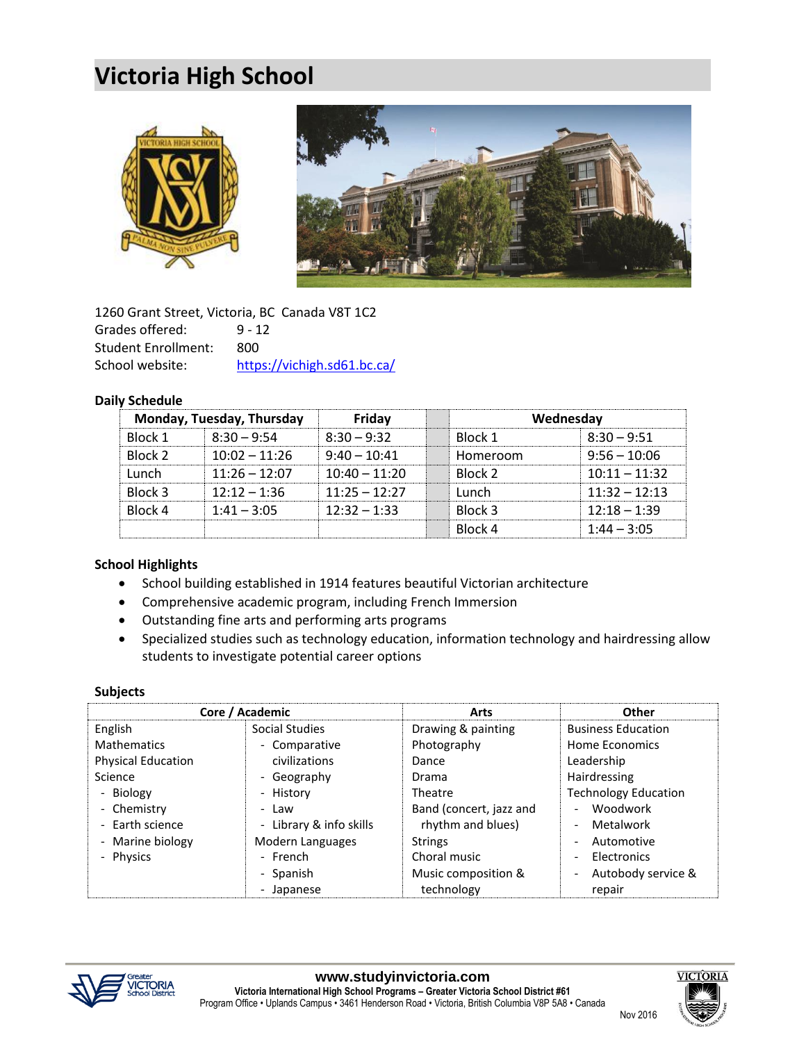# **Victoria High School**





1260 Grant Street, Victoria, BC Canada V8T 1C2 Grades offered: 9 - 12 Student Enrollment: 800 School website: <https://vichigh.sd61.bc.ca/>

### **Daily Schedule**

| Monday, Tuesday, Thursday |                 | Fridav          | Wednesday |                 |
|---------------------------|-----------------|-----------------|-----------|-----------------|
| Block 1                   | $8:30 - 9:54$   | $8:30 - 9:32$   | Block 1   | $8:30 - 9:51$   |
| Block 2                   | $10:02 - 11:26$ | $9:40 - 10:41$  | Homeroom  | $9:56 - 10:06$  |
| Lunch                     | $11:26 - 12:07$ | $10:40 - 11:20$ | Block 2   | $10:11 - 11:32$ |
| Block 3                   | $12:12 - 1:36$  | $11:25 - 12:27$ | Lunch     | $11:32 - 12:13$ |
| Block 4                   | $1:41 - 3:05$   | $12:32 - 1:33$  | Block 3   | $12:18 - 1:39$  |
|                           |                 |                 | Block 4   | $1:44 - 3:05$   |

### **School Highlights**

- School building established in 1914 features beautiful Victorian architecture
- Comprehensive academic program, including French Immersion
- Outstanding fine arts and performing arts programs
- Specialized studies such as technology education, information technology and hairdressing allow students to investigate potential career options

### **Subjects**

|                           | Core / Academic         | <b>Arts</b>             | Other                       |
|---------------------------|-------------------------|-------------------------|-----------------------------|
| English                   | Social Studies          | Drawing & painting      | <b>Business Education</b>   |
| <b>Mathematics</b>        | - Comparative           | Photography             | Home Economics              |
| <b>Physical Education</b> | civilizations           | Dance                   | Leadership                  |
| Science                   | - Geography             | Drama                   | Hairdressing                |
| - Biology                 | - History               | Theatre                 | <b>Technology Education</b> |
| - Chemistry               | - Law                   | Band (concert, jazz and | Woodwork                    |
| - Earth science           | - Library & info skills | rhythm and blues)       | Metalwork                   |
| - Marine biology          | Modern Languages        | <b>Strings</b>          | Automotive                  |
| - Physics                 | - French                | Choral music            | Electronics                 |
|                           | - Spanish               | Music composition &     | Autobody service &          |
|                           | - Japanese              | technology              | repair                      |